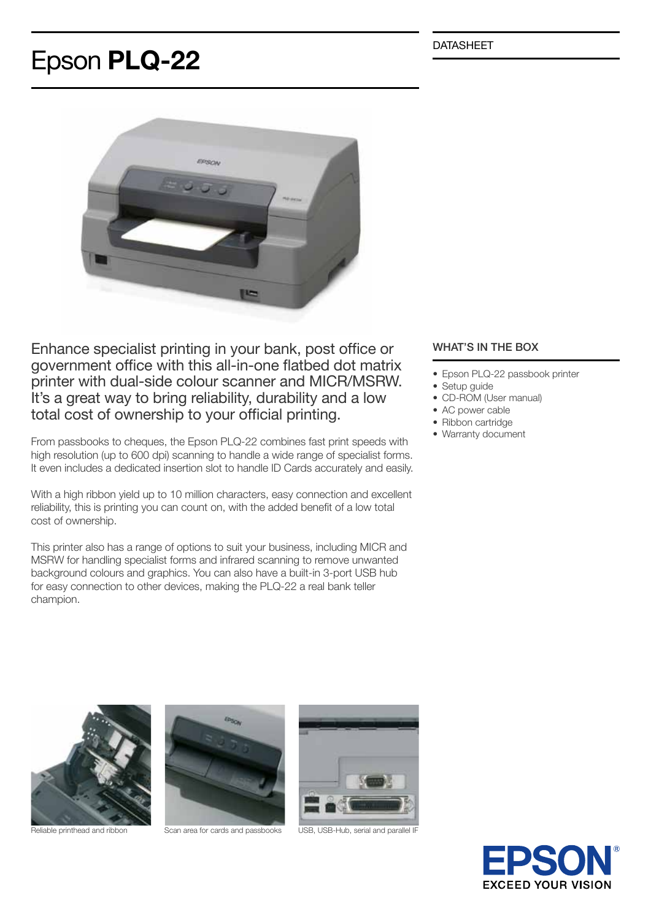DATASHEET

## Epson PLQ-22



Enhance specialist printing in your bank, post office or government office with this all-in-one flatbed dot matrix printer with dual-side colour scanner and MICR/MSRW. It's a great way to bring reliability, durability and a low total cost of ownership to your official printing.

From passbooks to cheques, the Epson PLQ-22 combines fast print speeds with high resolution (up to 600 dpi) scanning to handle a wide range of specialist forms. It even includes a dedicated insertion slot to handle ID Cards accurately and easily.

With a high ribbon yield up to 10 million characters, easy connection and excellent reliability, this is printing you can count on, with the added benefit of a low total cost of ownership.

This printer also has a range of options to suit your business, including MICR and MSRW for handling specialist forms and infrared scanning to remove unwanted background colours and graphics. You can also have a built-in 3-port USB hub for easy connection to other devices, making the PLQ-22 a real bank teller champion.

## WHAT'S IN THE BOX

- Epson PLQ-22 passbook printer
- Setup guide
- CD-ROM (User manual)
- AC power cable
- Ribbon cartridge
- Warranty document





Reliable printhead and ribbon Scan area for cards and passbooks USB, USB-Hub, serial and parallel IF